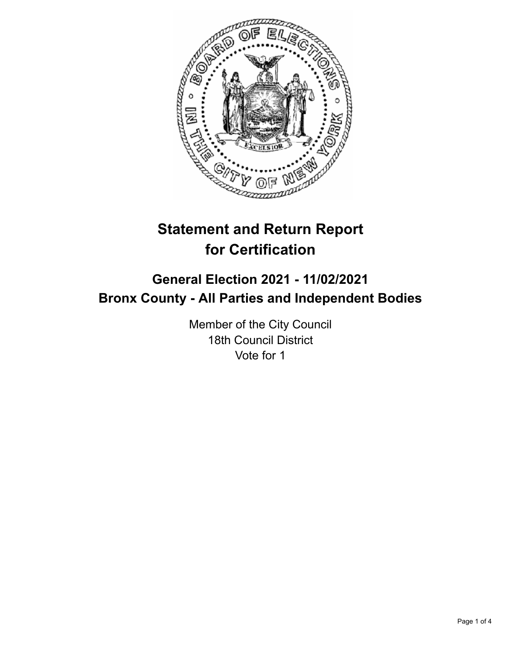

# **Statement and Return Report for Certification**

# **General Election 2021 - 11/02/2021 Bronx County - All Parties and Independent Bodies**

Member of the City Council 18th Council District Vote for 1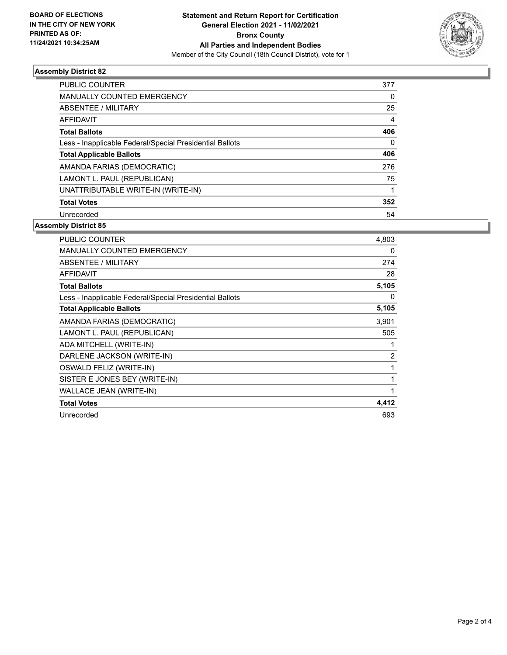

## **Assembly District 82**

| <b>PUBLIC COUNTER</b>                                    | 377      |
|----------------------------------------------------------|----------|
| <b>MANUALLY COUNTED EMERGENCY</b>                        | 0        |
| ABSENTEE / MILITARY                                      | 25       |
| AFFIDAVIT                                                | 4        |
| <b>Total Ballots</b>                                     | 406      |
| Less - Inapplicable Federal/Special Presidential Ballots | $\Omega$ |
| <b>Total Applicable Ballots</b>                          | 406      |
| AMANDA FARIAS (DEMOCRATIC)                               | 276      |
| LAMONT L. PAUL (REPUBLICAN)                              | 75       |
| UNATTRIBUTABLE WRITE-IN (WRITE-IN)                       |          |
| <b>Total Votes</b>                                       | 352      |
| Unrecorded                                               | 54       |

#### **Assembly District 85**

| <b>PUBLIC COUNTER</b>                                    | 4,803          |
|----------------------------------------------------------|----------------|
| <b>MANUALLY COUNTED EMERGENCY</b>                        | 0              |
| ABSENTEE / MILITARY                                      | 274            |
| <b>AFFIDAVIT</b>                                         | 28             |
| <b>Total Ballots</b>                                     | 5,105          |
| Less - Inapplicable Federal/Special Presidential Ballots | 0              |
| <b>Total Applicable Ballots</b>                          | 5,105          |
| AMANDA FARIAS (DEMOCRATIC)                               | 3,901          |
| LAMONT L. PAUL (REPUBLICAN)                              | 505            |
| ADA MITCHELL (WRITE-IN)                                  | 1              |
| DARLENE JACKSON (WRITE-IN)                               | $\overline{2}$ |
| OSWALD FELIZ (WRITE-IN)                                  | 1              |
| SISTER E JONES BEY (WRITE-IN)                            | 1              |
| WALLACE JEAN (WRITE-IN)                                  | 1              |
| <b>Total Votes</b>                                       | 4,412          |
| Unrecorded                                               | 693            |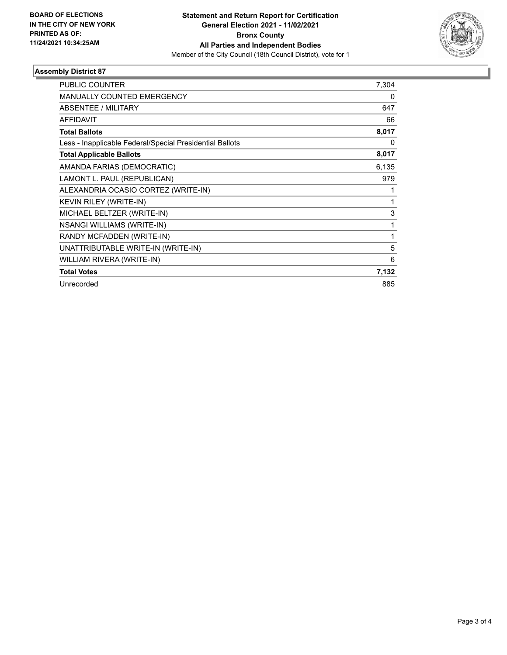

## **Assembly District 87**

| <b>PUBLIC COUNTER</b>                                    | 7,304 |
|----------------------------------------------------------|-------|
| <b>MANUALLY COUNTED EMERGENCY</b>                        | 0     |
| <b>ABSENTEE / MILITARY</b>                               | 647   |
| <b>AFFIDAVIT</b>                                         | 66    |
| <b>Total Ballots</b>                                     | 8,017 |
| Less - Inapplicable Federal/Special Presidential Ballots | 0     |
| <b>Total Applicable Ballots</b>                          | 8,017 |
| AMANDA FARIAS (DEMOCRATIC)                               | 6,135 |
| LAMONT L. PAUL (REPUBLICAN)                              | 979   |
| ALEXANDRIA OCASIO CORTEZ (WRITE-IN)                      |       |
| <b>KEVIN RILEY (WRITE-IN)</b>                            | 1     |
| MICHAEL BELTZER (WRITE-IN)                               | 3     |
| <b>NSANGI WILLIAMS (WRITE-IN)</b>                        | 1     |
| RANDY MCFADDEN (WRITE-IN)                                | 1     |
| UNATTRIBUTABLE WRITE-IN (WRITE-IN)                       | 5     |
| WILLIAM RIVERA (WRITE-IN)                                | 6     |
| <b>Total Votes</b>                                       | 7,132 |
| Unrecorded                                               | 885   |